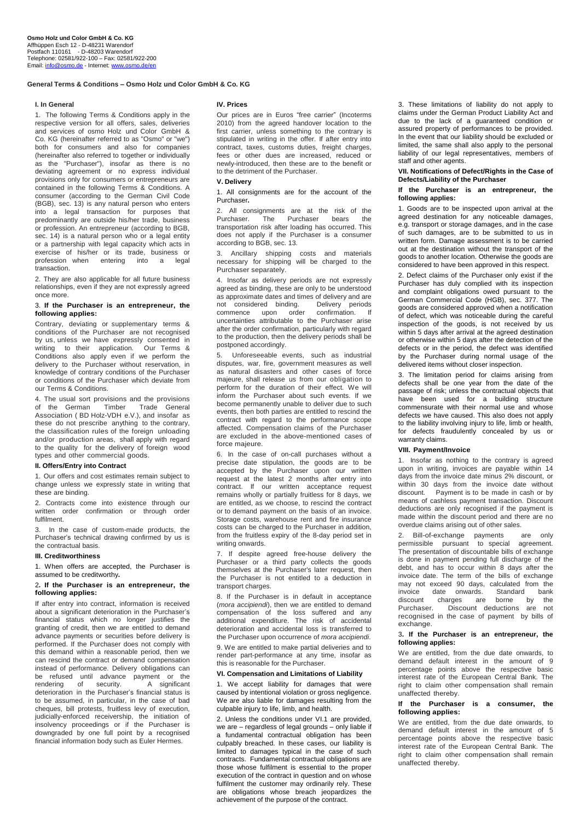## **General Terms & Conditions – Osmo Holz und Color GmbH & Co. KG**

### **I. In General**

1. The following Terms & Conditions apply in the respective version for all offers, sales, deliveries and services of osmo Holz und Color GmbH & Co. KG (hereinafter referred to as "Osmo" or "we") both for consumers and also for companies (hereinafter also referred to together or individually as the "Purchaser"), insofar as there is no deviating agreement or no express individual provisions only for consumers or entrepreneurs are contained in the following Terms & Conditions. A consumer (according to the German Civil Code (BGB), sec. 13) is any natural person who enters into a legal transaction for purposes that predominantly are outside his/her trade, business or profession. An entrepreneur (according to BGB, sec. 14) is a natural person who or a legal entity or a partnership with legal capacity which acts in exercise of his/her or its trade, business or<br>profession when entering into a legal profession when entering into a transaction.

2. They are also applicable for all future business relationships, even if they are not expressly agreed once more.

### 3. **If the Purchaser is an entrepreneur, the following applies:**

Contrary, deviating or supplementary terms & conditions of the Purchaser are not recognised by us, unless we have expressly consented in writing to their application. Our Terms & Conditions also apply even if we perform the delivery to the Purchaser without reservation, in knowledge of contrary conditions of the Purchaser or conditions of the Purchaser which deviate from our Terms & Conditions.

4. The usual sort provisions and the provisions<br>of the German Timber Trade General of the German Association ( BD Holz-VDH e.V.), and insofar as these do not prescribe anything to the contrary, the classification rules of the foreign unloading and/or production areas, shall apply with regard to the quality for the delivery of foreign wood types and other commercial goods.

## **II. Offers/Entry into Contract**

1. Our offers and cost estimates remain subject to change unless we expressly state in writing that these are binding.

2. Contracts come into existence through our written order confirmation or through order fulfilment.

3. In the case of custom-made products, the Purchaser's technical drawing confirmed by us is the contractual basis.

#### **III. Creditworthiness**

1. When offers are accepted, the Purchaser is assumed to be creditworthy**.**

### 2**. If the Purchaser is an entrepreneur, the following applies:**

If after entry into contract, information is received about a significant deterioration in the Purchaser's financial status which no longer justifies the granting of credit, then we are entitled to demand advance payments or securities before delivery is performed. If the Purchaser does not comply with this demand within a reasonable period, then we can rescind the contract or demand compensation instead of performance. Delivery obligations can be refused until advance payment or the rendering of security. A significant rendering of security. A significant deterioration in the Purchaser's financial status is to be assumed, in particular, in the case of bad cheques, bill protests, fruitless levy of execution, judicially-enforced receivership, the initiation of insolvency proceedings or if the Purchaser is downgraded by one full point by a recognised financial information body such as Euler Hermes.

### **IV. Prices**

Our prices are in Euros "free carrier" (Incoterms 2010) from the agreed handover location to the first carrier, unless something to the contrary is stipulated in writing in the offer. If after entry into contract, taxes, customs duties, freight charges, fees or other dues are increased, reduced or newly-introduced, then these are to the benefit or to the detriment of the Purchaser.

### **V. Delivery**

1. All consignments are for the account of the Purchaser**.**

2. All consignments are at the risk of the<br>Purchaser. The Purchaser bears the Purchaser transportation risk after loading has occurred. This does not apply if the Purchaser is a consumer according to BGB, sec. 13.

3. Ancillary shipping costs and materials necessary for shipping will be charged to the Purchaser separately.

4. Insofar as delivery periods are not expressly agreed as binding, these are only to be understood as approximate dates and times of delivery and are<br>not considered binding. Delivery periods not considered binding. Delivery periods<br>commence upon order confirmation. If upon order uncertainties attributable to the Purchaser arise after the order confirmation, particularly with regard to the production, then the delivery periods shall be postponed accordingly.

5. Unforeseeable events, such as industrial disputes, war, fire, government measures as well as natural disasters and other cases of force majeure, shall release us from our obligation to perform for the duration of their effect. We will inform the Purchaser about such events. If we become permanently unable to deliver due to such events, then both parties are entitled to rescind the contract with regard to the performance scope affected. Compensation claims of the Purchaser are excluded in the above-mentioned cases of force majeure.

6. In the case of on-call purchases without a precise date stipulation, the goods are to be accepted by the Purchaser upon our written request at the latest 2 months after entry into contract. If our written acceptance request remains wholly or partially fruitless for 8 days, we are entitled, as we choose, to rescind the contract or to demand payment on the basis of an invoice. Storage costs, warehouse rent and fire insurance costs can be charged to the Purchaser in addition, from the fruitless expiry of the 8-day period set in writing onwards.

7. If despite agreed free-house delivery the Purchaser or a third party collects the goods themselves at the Purchaser's later request, then the Purchaser is not entitled to a deduction in transport charges.

8. If the Purchaser is in default in acceptance (*mora accipiendi*), then we are entitled to demand compensation of the loss suffered and any additional expenditure. The risk of accidental deterioration and accidental loss is transferred to the Purchaser upon occurrence of *mora accipiendi*. 9. We are entitled to make partial deliveries and to render part-performance at any time, insofar as this is reasonable for the Purchaser.

#### **VI. Compensation and Limitations of Liability**

1. We accept liability for damages that were caused by intentional violation or gross negligence. We are also liable for damages resulting from the culpable injury to life, limb, and health.

2. Unless the conditions under VI.1 are provided, we are – regardless of legal grounds – only liable if a fundamental contractual obligation has been culpably breached. In these cases, our liability is limited to damages typical in the case of such contracts. Fundamental contractual obligations are those whose fulfilment is essential to the proper execution of the contract in question and on whose fulfilment the customer may ordinarily rely. These are obligations whose breach jeopardizes the achievement of the purpose of the contract.

3. These limitations of liability do not apply to claims under the German Product Liability Act and due to the lack of a guaranteed condition or assured property of performances to be provided. In the event that our liability should be excluded or limited, the same shall also apply to the personal liability of our legal representatives, members of staff and other agents.

# **VII. Notifications of Defect/Rights in the Case of Defects/Liability of the Purchaser**

## **If the Purchaser is an entrepreneur, the following applies:**

1. Goods are to be inspected upon arrival at the agreed destination for any noticeable damages, e.g. transport or storage damages, and in the case of such damages, are to be submitted to us in written form. Damage assessment is to be carried out at the destination without the transport of the goods to another location. Otherwise the goods are considered to have been approved in this respect.

2. Defect claims of the Purchaser only exist if the Purchaser has duly complied with its inspection and complaint obligations owed pursuant to the German Commercial Code (HGB), sec. 377. The goods are considered approved when a notification of defect, which was noticeable during the careful inspection of the goods, is not received by us within 5 days after arrival at the agreed destination or otherwise within 5 days after the detection of the defects or in the period, the defect was identified by the Purchaser during normal usage of the delivered items without closer inspection.

3. The limitation period for claims arising from defects shall be one year from the date of the passage of risk; unless the contractual objects that have been used for a building structure commensurate with their normal use and whose defects we have caused. This also does not apply to the liability involving injury to life, limb or health, for defects fraudulently concealed by us or warranty claims.

## **VIII. Payment/Invoice**

1. Insofar as nothing to the contrary is agreed upon in writing, invoices are payable within 14 days from the invoice date minus 2% discount, or within 30 days from the invoice date without discount. Payment is to be made in cash or by Payment is to be made in cash or by means of cashless payment transaction. Discount deductions are only recognised if the payment is made within the discount period and there are no overdue claims arising out of other sales.

2. Bill-of-exchange payments are only permissible pursuant to special agreement. The presentation of discountable bills of exchange is done in payment pending full discharge of the debt, and has to occur within 8 days after the invoice date. The term of the bills of exchange may not exceed 90 days, calculated from the<br>invoice date onwards. Standard bank invoice date onwards. Standard bank<br>discount charges are borne by the discount charges are<br>Purchaser. Discount d Discount deductions are not recognised in the case of payment by bills of exchange.

### 3**. If the Purchaser is an entrepreneur, the following applies:**

We are entitled, from the due date onwards, to demand default interest in the amount of 9 percentage points above the respective basic interest rate of the European Central Bank. The right to claim other compensation shall remain unaffected thereby.

### **If the Purchaser is a consumer, the following applies:**

We are entitled, from the due date onwards, to demand default interest in the amount of 5 percentage points above the respective basic interest rate of the European Central Bank. The right to claim other compensation shall remain unaffected thereby.